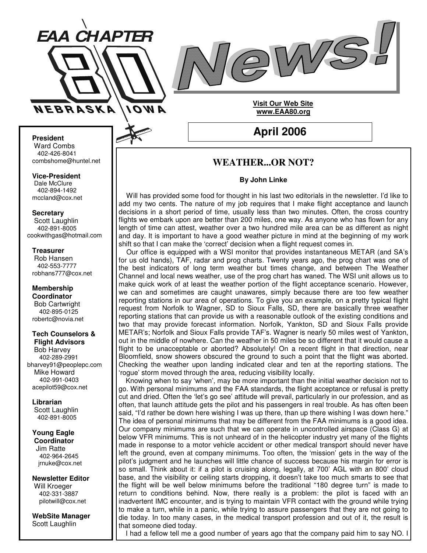



### **President**

Ward Combs 402-426-8041 combshome@huntel.net

**Vice-President** Dale McClure 402-894-1492 mccland@cox.net

**Secretary**

Scott Laughlin 402-891-8005 cookwithgas@hotmail.com

**Treasurer** Rob Hansen

402-553-7777 robhans777@cox.net

**Membership Coordinator** Bob Cartwright 402-895-0125 robertc@novia.net

#### **Tech Counselors & Flight Advisors**

Bob Harvey 402-289-2991 bharvey91@peoplepc.com Mike Howard 402-991-0403 acepilot59@cox.net

**Librarian** Scott Laughlin 402-891-8005

**Young Eagle Coordinator** Jim Ratte 402-964-2645 jrnuke@cox.net

**Newsletter Editor** Will Kroeger 402-331-3887 pilotwill@cox.net

**WebSite Manager** Scott Laughlin

**April 2006**

**Visit Our Web Site www.EAA80.org**

# **WEATHER...OR NOT?**

### **By John Linke**

Will has provided some food for thought in his last two editorials in the newsletter. I'd like to add my two cents. The nature of my job requires that I make flight acceptance and launch decisions in a short period of time, usually less than two minutes. Often, the cross country flights we embark upon are better than 200 miles, one way. As anyone who has flown for any length of time can attest, weather over a two hundred mile area can be as different as night and day. It is important to have a good weather picture in mind at the beginning of my work shift so that I can make the 'correct' decision when a flight request comes in.

Our office is equipped with a WSI monitor that provides instantaneous METAR (and SA's for us old hands), TAF, radar and prog charts. Twenty years ago, the prog chart was one of the best indicators of long term weather but times change, and between The Weather Channel and local news weather, use of the prog chart has waned. The WSI unit allows us to make quick work of at least the weather portion of the flight acceptance scenario. However, we can and sometimes are caught unawares, simply because there are too few weather reporting stations in our area of operations. To give you an example, on a pretty typical flight request from Norfolk to Wagner, SD to Sioux Falls, SD, there are basically three weather reporting stations that can provide us with a reasonable outlook of the existing conditions and two that may provide forecast information. Norfolk, Yankton, SD and Sioux Falls provide METAR's; Norfolk and Sioux Falls provide TAF's. Wagner is nearly 50 miles west of Yankton, out in the middle of nowhere. Can the weather in 50 miles be so different that it would cause a flight to be unacceptable or aborted? Absolutely! On a recent flight in that direction, near Bloomfield, snow showers obscured the ground to such a point that the flight was aborted. Checking the weather upon landing indicated clear and ten at the reporting stations. The 'rogue' storm moved through the area, reducing visibility locally.

Knowing when to say 'when', may be more important than the initial weather decision not to go. With personal minimums and the FAA standards, the flight acceptance or refusal is pretty cut and dried. Often the 'let's go see' attitude will prevail, particularly in our profession, and as often, that launch attitude gets the pilot and his passengers in real trouble. As has often been said, "I'd rather be down here wishing I was up there, than up there wishing I was down here." The idea of personal minimums that may be different from the FAA minimums is a good idea. Our company minimums are such that we can operate in uncontrolled airspace (Class G) at below VFR minimums. This is not unheard of in the helicopter industry yet many of the flights made in response to a motor vehicle accident or other medical transport should never have left the ground, even at company minimums. Too often, the 'mission' gets in the way of the pilot's judgment and he launches will little chance of success because his margin for error is so small. Think about it: if a pilot is cruising along, legally, at 700' AGL with an 800' cloud base, and the visibility or ceiling starts dropping, it doesn't take too much smarts to see that the flight will be well below minimums before the traditional "180 degree turn" is made to return to conditions behind. Now, there really is a problem: the pilot is faced with an inadvertent IMC encounter, and is trying to maintain VFR contact with the ground while trying to make a turn, while in a panic, while trying to assure passengers that they are not going to die today. In too many cases, in the medical transport profession and out of it, the result is that someone died today.

I had a fellow tell me a good number of years ago that the company paid him to say NO. I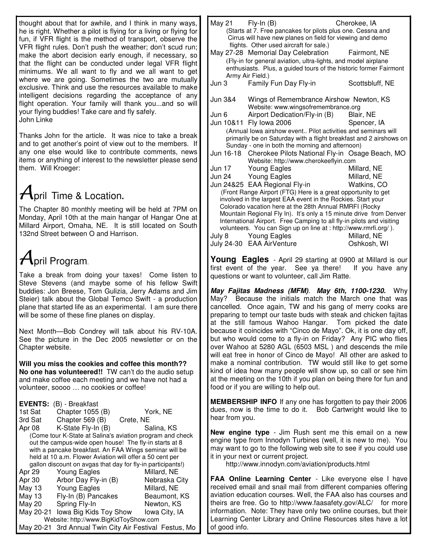thought about that for awhile, and I think in many ways, he is right. Whether a pilot is flying for a living or flying for fun, if VFR flight is the method of transport, observe the VFR flight rules. Don't push the weather; don't scud run; make the abort decision early enough, if necessary, so that the flight can be conducted under legal VFR flight minimums. We all want to fly and we all want to get where we are going. Sometimes the two are mutually exclusive. Think and use the resources available to make intelligent decisions regarding the acceptance of any flight operation. Your family will thank you...and so will your flying buddies! Take care and fly safely. John Linke

Thanks John for the article. It was nice to take a break and to get another's point of view out to the members. If any one else would like to contribute comments, news items or anything of interest to the newsletter please send them. Will Kroeger:

# $A$ pril Time & Location.

The Chapter 80 monthly meeting will be held at 7PM on Monday, April 10th at the main hangar of Hangar One at Millard Airport, Omaha, NE. It is still located on South 132nd Street between O and Harrison.

# $A$ pril Program.

Take a break from doing your taxes! Come listen to Steve Stevens (and maybe some of his fellow Swift buddies: Jon Breese, Tom Gulizia, Jerry Adams and Jim Steier) talk about the Global Temco Swift - a production plane that started life as an experimental. I am sure there will be some of these fine planes on display.

Next Month—Bob Condrey will talk about his RV-10A. See the picture in the Dec 2005 newsletter or on the Chapter website.

**Will you miss the cookies and coffee this month?? No one has volunteered!!** TW can't do the audio setup and make coffee each meeting and we have not had a volunteer, soooo … no cookies or coffee!

**EVENTS:** (B) - Breakfast

|                                                             | $\mathbf{u}$           |               |  |  |
|-------------------------------------------------------------|------------------------|---------------|--|--|
| 1st Sat                                                     | Chapter 1055 (B)       | York, NE      |  |  |
| 3rd Sat                                                     | Chapter 569 (B)        | Crete, NE     |  |  |
| Apr 08                                                      | K-State Fly-In (B)     | Salina, KS    |  |  |
| (Come tour K-State at Salina's aviation program and check   |                        |               |  |  |
| out the campus-wide open house! The fly-in starts at 8      |                        |               |  |  |
| with a pancake breakfast. An FAA Wings seminar will be      |                        |               |  |  |
| held at 10 a.m. Flower Aviation will offer a 50 cent per    |                        |               |  |  |
| gallon discount on avgas that day for fly-in participants!) |                        |               |  |  |
| Apr 29                                                      | Young Eagles           | Millard, NE   |  |  |
| Apr 30                                                      | Arbor Day Fly-in (B)   | Nebraska City |  |  |
| May 13                                                      | <b>Young Eagles</b>    | Millard, NE   |  |  |
| May 13                                                      | Fly-In (B) Pancakes    | Beaumont, KS  |  |  |
| May 20                                                      | Spring Fly-In          | Newton, KS    |  |  |
| May 20-21                                                   | lowa Big Kids Toy Show | Iowa City, IA |  |  |
| Website: http://www.BigKidToyShow.com                       |                        |               |  |  |
| May 20-21 3rd Annual Twin City Air Festival Festus, Mo      |                        |               |  |  |

| May 21 $Fly-In(B)$                                                                                                                        | (Starts at 7. Free pancakes for pilots plus one. Cessna and<br>Cirrus will have new planes on field for viewing and demo<br>flights. Other used aircraft for sale.) | Cherokee, IA |  |  |
|-------------------------------------------------------------------------------------------------------------------------------------------|---------------------------------------------------------------------------------------------------------------------------------------------------------------------|--------------|--|--|
|                                                                                                                                           | May 27-28 Memorial Day Celebration                                                                                                                                  | Fairmont. NE |  |  |
| (Fly-in for general aviation, ultra-lights, and model airplane                                                                            |                                                                                                                                                                     |              |  |  |
| enthusiasts. Plus, a guided tours of the historic former Fairmont<br>Army Air Field.)                                                     |                                                                                                                                                                     |              |  |  |
|                                                                                                                                           | Jun 3 Family Fun Day Fly-in Scottsbluff, NE                                                                                                                         |              |  |  |
| Jun 3&4 Wings of Remembrance Airshow Newton, KS<br>Website: www.wingsofremembrance.org                                                    |                                                                                                                                                                     |              |  |  |
| Jun 6                                                                                                                                     | Airport Dedication/Fly-in (B)                                                                                                                                       | Blair, NE    |  |  |
|                                                                                                                                           | Jun 10&11 Fly lowa 2006                                                                                                                                             | Spencer, IA  |  |  |
|                                                                                                                                           |                                                                                                                                                                     |              |  |  |
| (Annual lowa airshow event Pilot activities and seminars will                                                                             |                                                                                                                                                                     |              |  |  |
| primarily be on Saturday with a flight breakfast and 2 airshows on<br>Sunday - one in both the morning and afternoon)                     |                                                                                                                                                                     |              |  |  |
|                                                                                                                                           | Jun 16-18 Cherokee Pilots National Fly-in Osage Beach, MO                                                                                                           |              |  |  |
|                                                                                                                                           | Website: http://www.cherokeeflyin.com                                                                                                                               |              |  |  |
|                                                                                                                                           | Jun 17 Young Eagles                                                                                                                                                 | Millard, NE  |  |  |
|                                                                                                                                           | Jun 24 Young Eagles                                                                                                                                                 | Millard, NE  |  |  |
|                                                                                                                                           | Jun 24&25 EAA Regional Fly-in Watkins, CO                                                                                                                           |              |  |  |
| (Front Range Airport (FTG) Here is a great opportunity to get                                                                             |                                                                                                                                                                     |              |  |  |
| involved in the largest EAA event in the Rockies. Start your                                                                              |                                                                                                                                                                     |              |  |  |
| Colorado vacation here at the 28th Annual RMRFI (Rocky                                                                                    |                                                                                                                                                                     |              |  |  |
| Mountain Regional Fly In). It's only a 15 minute drive from Denver                                                                        |                                                                                                                                                                     |              |  |  |
| International Airport. Free Camping to all fly-in pilots and visiting<br>volunteers. You can Sign up on line at : http://www.rmrfi.org/). |                                                                                                                                                                     |              |  |  |
|                                                                                                                                           | July 8 Young Eagles                                                                                                                                                 | Millard, NE  |  |  |
|                                                                                                                                           | July 24-30 EAA AirVenture                                                                                                                                           | Oshkosh, WI  |  |  |
|                                                                                                                                           |                                                                                                                                                                     |              |  |  |

**Young Eagles** - April 29 starting at 0900 at Millard is our first event of the year. See ya there! If you have any questions or want to volunteer, call Jim Ratte.

*May Fajitas Madness (MFM). May 6th, 1100-1230.* Why May? Because the initials match the March one that was cancelled. Once again, TW and his gang of merry cooks are preparing to tempt our taste buds with steak and chicken fajitas at the still famous Wahoo Hangar. Tom picked the date because it coincides with "Cinco de Mayo". Ok, it is one day off, but who would come to a fly-in on Friday? Any PIC who flies over Wahoo at 5280 AGL (6503 MSL ) and descends the mile will eat free in honor of Cinco de Mayo! All other are asked to make a nominal contribution. TW would still like to get some kind of idea how many people will show up, so call or see him at the meeting on the 10th if you plan on being there for fun and food or if you are willing to help out.

**MEMBERSHIP INFO** If any one has forgotten to pay their 2006 dues, now is the time to do it. Bob Cartwright would like to hear from you.

**New engine type** - Jim Rush sent me this email on a new engine type from Innodyn Turbines (well, it is new to me). You may want to go to the following web site to see if you could use it in your next or current project.

http://www.innodyn.com/aviation/products.html

**FAA Online Learning Center** - Like everyone else I have received email and snail mail from different companies offering aviation education courses. Well, the FAA also has courses and theirs are free. Go to http://www.faasafety.gov/ALC/ for more information. Note: They have only two online courses, but their Learning Center Library and Online Resources sites have a lot of good info.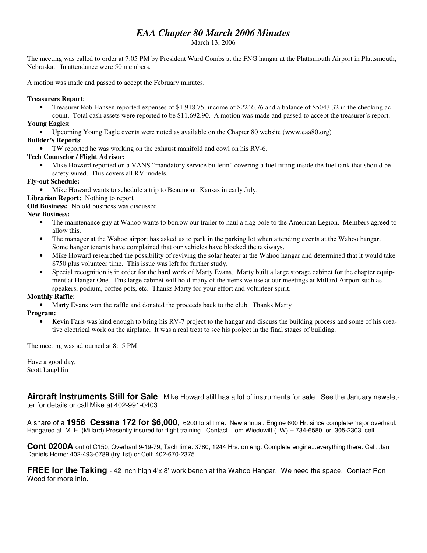# *EAA Chapter 80 March 2006 Minutes*

March 13, 2006

The meeting was called to order at 7:05 PM by President Ward Combs at the FNG hangar at the Plattsmouth Airport in Plattsmouth, Nebraska. In attendance were 50 members.

A motion was made and passed to accept the February minutes.

#### **Treasurers Report**:

• Treasurer Rob Hansen reported expenses of \$1,918.75, income of \$2246.76 and a balance of \$5043.32 in the checking ac-

count. Total cash assets were reported to be \$11,692.90. A motion was made and passed to accept the treasurer's report. **Young Eagles**:

• Upcoming Young Eagle events were noted as available on the Chapter 80 website (www.eaa80.org)

### **Builder's Reports**:

• TW reported he was working on the exhaust manifold and cowl on his RV-6.

### **Tech Counselor / Flight Advisor:**

• Mike Howard reported on a VANS "mandatory service bulletin" covering a fuel fitting inside the fuel tank that should be safety wired. This covers all RV models.

**Fly-out Schedule:**

• Mike Howard wants to schedule a trip to Beaumont, Kansas in early July.

**Librarian Report:** Nothing to report

**Old Business:** No old business was discussed

### **New Business:**

- The maintenance guy at Wahoo wants to borrow our trailer to haul a flag pole to the American Legion. Members agreed to allow this.
- The manager at the Wahoo airport has asked us to park in the parking lot when attending events at the Wahoo hangar. Some hanger tenants have complained that our vehicles have blocked the taxiways.
- Mike Howard researched the possibility of reviving the solar heater at the Wahoo hangar and determined that it would take \$750 plus volunteer time. This issue was left for further study.
- Special recognition is in order for the hard work of Marty Evans. Marty built a large storage cabinet for the chapter equipment at Hangar One. This large cabinet will hold many of the items we use at our meetings at Millard Airport such as speakers, podium, coffee pots, etc. Thanks Marty for your effort and volunteer spirit.

#### **Monthly Raffle:**

• Marty Evans won the raffle and donated the proceeds back to the club. Thanks Marty!

#### **Program:**

• Kevin Faris was kind enough to bring his RV-7 project to the hangar and discuss the building process and some of his creative electrical work on the airplane. It was a real treat to see his project in the final stages of building.

The meeting was adjourned at 8:15 PM.

Have a good day, Scott Laughlin

**Aircraft Instruments Still for Sale**: Mike Howard still has a lot of instruments for sale. See the January newsletter for details or call Mike at 402-991-0403.

A share of a **1956 Cessna 172 for \$6,000**, 6200 total time. New annual. Engine 600 Hr. since complete/major overhaul. Hangared at MLE (Millard) Presently insured for flight training. Contact Tom Wieduwilt (TW) -- 734-6580 or 305-2303 cell.

**Cont 0200A** out of C150, Overhaul 9-19-79, Tach time: 3780, 1244 Hrs. on eng. Complete engine...everything there. Call: Jan Daniels Home: 402-493-0789 (try 1st) or Cell: 402-670-2375.

**FREE for the Taking** - 42 inch high 4'x 8' work bench at the Wahoo Hangar. We need the space. Contact Ron Wood for more info.